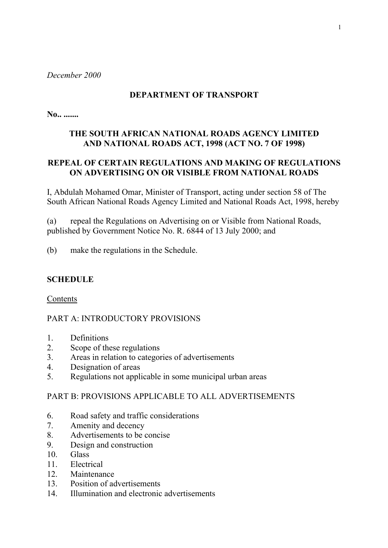*December 2000*

# **DEPARTMENT OF TRANSPORT**

**No.. .......** 

# **THE SOUTH AFRICAN NATIONAL ROADS AGENCY LIMITED AND NATIONAL ROADS ACT, 1998 (ACT NO. 7 OF 1998)**

# **REPEAL OF CERTAIN REGULATIONS AND MAKING OF REGULATIONS ON ADVERTISING ON OR VISIBLE FROM NATIONAL ROADS**

I, Abdulah Mohamed Omar, Minister of Transport, acting under section 58 of The South African National Roads Agency Limited and National Roads Act, 1998, hereby

(a) repeal the Regulations on Advertising on or Visible from National Roads, published by Government Notice No. R. 6844 of 13 July 2000; and

(b) make the regulations in the Schedule.

## **SCHEDULE**

Contents

## PART A: INTRODUCTORY PROVISIONS

- 1. Definitions
- 2. Scope of these regulations
- 3. Areas in relation to categories of advertisements
- 4. Designation of areas
- 5. Regulations not applicable in some municipal urban areas

# PART B: PROVISIONS APPLICABLE TO ALL ADVERTISEMENTS

- 6. Road safety and traffic considerations
- 7. Amenity and decency
- 8. Advertisements to be concise
- 9. Design and construction
- 10. Glass
- 11. Electrical
- 12. Maintenance
- 13. Position of advertisements
- 14. Illumination and electronic advertisements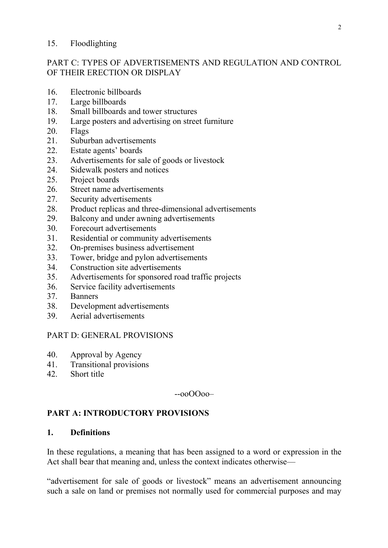#### 15. Floodlighting

## PART C: TYPES OF ADVERTISEMENTS AND REGULATION AND CONTROL OF THEIR ERECTION OR DISPLAY

- 16. Electronic billboards
- 17. Large billboards
- 18. Small billboards and tower structures
- 19. Large posters and advertising on street furniture
- 20. Flags
- 21. Suburban advertisements
- 22. Estate agents' boards
- 23. Advertisements for sale of goods or livestock
- 24. Sidewalk posters and notices
- 25. Project boards
- 26. Street name advertisements
- 27. Security advertisements
- 28. Product replicas and three-dimensional advertisements
- 29. Balcony and under awning advertisements
- 30. Forecourt advertisements
- 31. Residential or community advertisements
- 32. On-premises business advertisement
- 33. Tower, bridge and pylon advertisements
- 34. Construction site advertisements
- 35. Advertisements for sponsored road traffic projects
- 36. Service facility advertisements
- 37. Banners
- 38. Development advertisements
- 39. Aerial advertisements

#### PART D: GENERAL PROVISIONS

- 40. Approval by Agency
- 41. Transitional provisions
- 42. Short title

--ooOOoo–

## **PART A: INTRODUCTORY PROVISIONS**

### **1. Definitions**

In these regulations, a meaning that has been assigned to a word or expression in the Act shall bear that meaning and, unless the context indicates otherwise—

"advertisement for sale of goods or livestock" means an advertisement announcing such a sale on land or premises not normally used for commercial purposes and may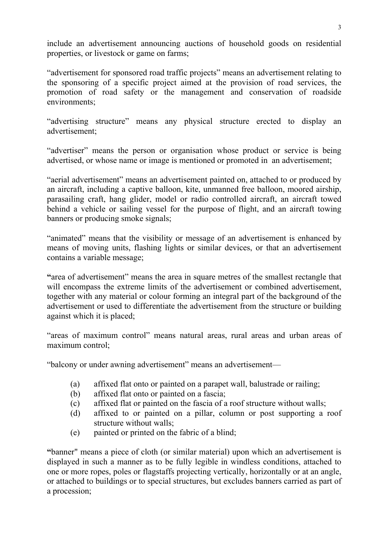include an advertisement announcing auctions of household goods on residential properties, or livestock or game on farms;

"advertisement for sponsored road traffic projects" means an advertisement relating to the sponsoring of a specific project aimed at the provision of road services, the promotion of road safety or the management and conservation of roadside environments;

"advertising structure" means any physical structure erected to display an advertisement;

"advertiser" means the person or organisation whose product or service is being advertised, or whose name or image is mentioned or promoted in an advertisement;

"aerial advertisement" means an advertisement painted on, attached to or produced by an aircraft, including a captive balloon, kite, unmanned free balloon, moored airship, parasailing craft, hang glider, model or radio controlled aircraft, an aircraft towed behind a vehicle or sailing vessel for the purpose of flight, and an aircraft towing banners or producing smoke signals;

"animated" means that the visibility or message of an advertisement is enhanced by means of moving units, flashing lights or similar devices, or that an advertisement contains a variable message;

**"**area of advertisement" means the area in square metres of the smallest rectangle that will encompass the extreme limits of the advertisement or combined advertisement, together with any material or colour forming an integral part of the background of the advertisement or used to differentiate the advertisement from the structure or building against which it is placed;

"areas of maximum control" means natural areas, rural areas and urban areas of maximum control;

"balcony or under awning advertisement" means an advertisement—

- (a) affixed flat onto or painted on a parapet wall, balustrade or railing;
- (b) affixed flat onto or painted on a fascia;
- (c) affixed flat or painted on the fascia of a roof structure without walls;
- (d) affixed to or painted on a pillar, column or post supporting a roof structure without walls;
- (e) painted or printed on the fabric of a blind;

**"**banner" means a piece of cloth (or similar material) upon which an advertisement is displayed in such a manner as to be fully legible in windless conditions, attached to one or more ropes, poles or flagstaffs projecting vertically, horizontally or at an angle, or attached to buildings or to special structures, but excludes banners carried as part of a procession;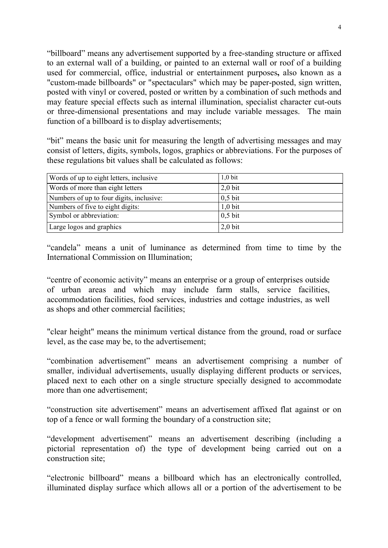"billboard" means any advertisement supported by a free-standing structure or affixed to an external wall of a building, or painted to an external wall or roof of a building used for commercial, office, industrial or entertainment purposes**,** also known as a "custom-made billboards" or "spectaculars" which may be paper-posted, sign written, posted with vinyl or covered, posted or written by a combination of such methods and may feature special effects such as internal illumination, specialist character cut-outs or three-dimensional presentations and may include variable messages. The main function of a billboard is to display advertisements;

"bit" means the basic unit for measuring the length of advertising messages and may consist of letters, digits, symbols, logos, graphics or abbreviations. For the purposes of these regulations bit values shall be calculated as follows:

| Words of up to eight letters, inclusive  | $1,0$ bit |
|------------------------------------------|-----------|
| Words of more than eight letters         | $2,0$ bit |
| Numbers of up to four digits, inclusive: | $0,5$ bit |
| Numbers of five to eight digits:         | $1,0$ bit |
| Symbol or abbreviation:                  | $0,5$ bit |
| Large logos and graphics                 | $2,0$ bit |

"candela" means a unit of luminance as determined from time to time by the International Commission on Illumination;

"centre of economic activity" means an enterprise or a group of enterprises outside of urban areas and which may include farm stalls, service facilities, accommodation facilities, food services, industries and cottage industries, as well as shops and other commercial facilities;

"clear height" means the minimum vertical distance from the ground, road or surface level, as the case may be, to the advertisement;

"combination advertisement" means an advertisement comprising a number of smaller, individual advertisements, usually displaying different products or services, placed next to each other on a single structure specially designed to accommodate more than one advertisement;

"construction site advertisement" means an advertisement affixed flat against or on top of a fence or wall forming the boundary of a construction site;

"development advertisement" means an advertisement describing (including a pictorial representation of) the type of development being carried out on a construction site;

"electronic billboard" means a billboard which has an electronically controlled, illuminated display surface which allows all or a portion of the advertisement to be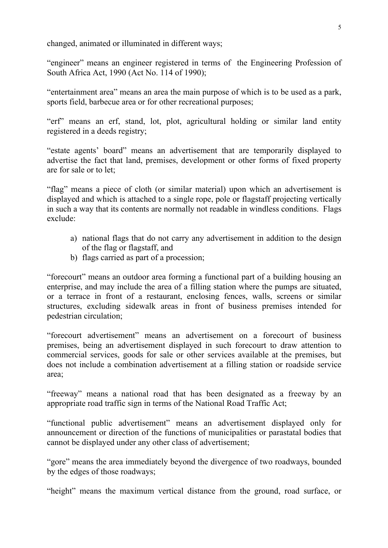changed, animated or illuminated in different ways;

"engineer" means an engineer registered in terms of the Engineering Profession of South Africa Act, 1990 (Act No. 114 of 1990);

"entertainment area" means an area the main purpose of which is to be used as a park, sports field, barbecue area or for other recreational purposes;

"erf" means an erf, stand, lot, plot, agricultural holding or similar land entity registered in a deeds registry;

"estate agents' board" means an advertisement that are temporarily displayed to advertise the fact that land, premises, development or other forms of fixed property are for sale or to let;

"flag" means a piece of cloth (or similar material) upon which an advertisement is displayed and which is attached to a single rope, pole or flagstaff projecting vertically in such a way that its contents are normally not readable in windless conditions. Flags exclude:

- a) national flags that do not carry any advertisement in addition to the design of the flag or flagstaff, and
- b) flags carried as part of a procession;

"forecourt" means an outdoor area forming a functional part of a building housing an enterprise, and may include the area of a filling station where the pumps are situated, or a terrace in front of a restaurant, enclosing fences, walls, screens or similar structures, excluding sidewalk areas in front of business premises intended for pedestrian circulation;

"forecourt advertisement" means an advertisement on a forecourt of business premises, being an advertisement displayed in such forecourt to draw attention to commercial services, goods for sale or other services available at the premises, but does not include a combination advertisement at a filling station or roadside service area;

"freeway" means a national road that has been designated as a freeway by an appropriate road traffic sign in terms of the National Road Traffic Act;

"functional public advertisement" means an advertisement displayed only for announcement or direction of the functions of municipalities or parastatal bodies that cannot be displayed under any other class of advertisement;

"gore" means the area immediately beyond the divergence of two roadways, bounded by the edges of those roadways;

"height" means the maximum vertical distance from the ground, road surface, or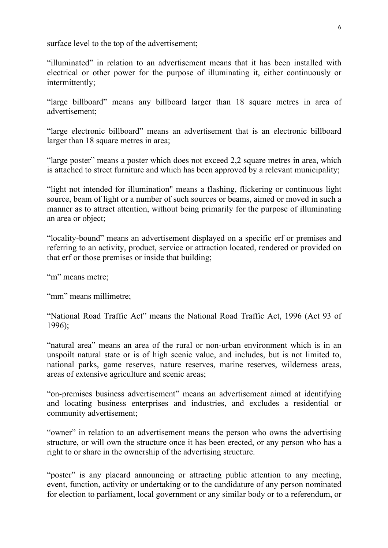surface level to the top of the advertisement;

"illuminated" in relation to an advertisement means that it has been installed with electrical or other power for the purpose of illuminating it, either continuously or intermittently;

"large billboard" means any billboard larger than 18 square metres in area of advertisement;

"large electronic billboard" means an advertisement that is an electronic billboard larger than 18 square metres in area;

"large poster" means a poster which does not exceed 2,2 square metres in area, which is attached to street furniture and which has been approved by a relevant municipality;

"light not intended for illumination" means a flashing, flickering or continuous light source, beam of light or a number of such sources or beams, aimed or moved in such a manner as to attract attention, without being primarily for the purpose of illuminating an area or object;

"locality-bound" means an advertisement displayed on a specific erf or premises and referring to an activity, product, service or attraction located, rendered or provided on that erf or those premises or inside that building;

"m" means metre;

"mm" means millimetre:

"National Road Traffic Act" means the National Road Traffic Act, 1996 (Act 93 of 1996);

"natural area" means an area of the rural or non-urban environment which is in an unspoilt natural state or is of high scenic value, and includes, but is not limited to, national parks, game reserves, nature reserves, marine reserves, wilderness areas, areas of extensive agriculture and scenic areas;

"on-premises business advertisement" means an advertisement aimed at identifying and locating business enterprises and industries, and excludes a residential or community advertisement;

"owner" in relation to an advertisement means the person who owns the advertising structure, or will own the structure once it has been erected, or any person who has a right to or share in the ownership of the advertising structure.

"poster" is any placard announcing or attracting public attention to any meeting, event, function, activity or undertaking or to the candidature of any person nominated for election to parliament, local government or any similar body or to a referendum, or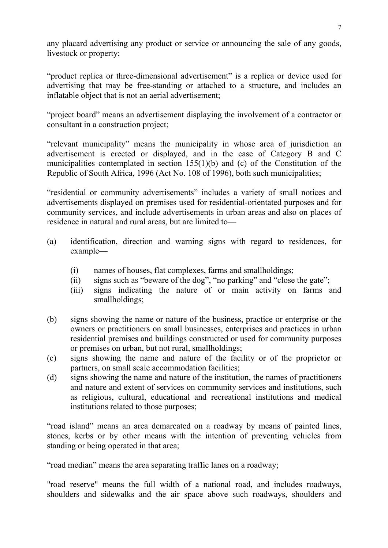any placard advertising any product or service or announcing the sale of any goods, livestock or property;

"product replica or three-dimensional advertisement" is a replica or device used for advertising that may be free-standing or attached to a structure, and includes an inflatable object that is not an aerial advertisement;

"project board" means an advertisement displaying the involvement of a contractor or consultant in a construction project;

"relevant municipality" means the municipality in whose area of jurisdiction an advertisement is erected or displayed, and in the case of Category B and C municipalities contemplated in section 155(1)(b) and (c) of the Constitution of the Republic of South Africa, 1996 (Act No. 108 of 1996), both such municipalities;

"residential or community advertisements" includes a variety of small notices and advertisements displayed on premises used for residential-orientated purposes and for community services, and include advertisements in urban areas and also on places of residence in natural and rural areas, but are limited to—

- (a) identification, direction and warning signs with regard to residences, for example—
	- (i) names of houses, flat complexes, farms and smallholdings;
	- (ii) signs such as "beware of the dog", "no parking" and "close the gate";
	- (iii) signs indicating the nature of or main activity on farms and smallholdings;
- (b) signs showing the name or nature of the business, practice or enterprise or the owners or practitioners on small businesses, enterprises and practices in urban residential premises and buildings constructed or used for community purposes or premises on urban, but not rural, smallholdings;
- (c) signs showing the name and nature of the facility or of the proprietor or partners, on small scale accommodation facilities;
- (d) signs showing the name and nature of the institution, the names of practitioners and nature and extent of services on community services and institutions, such as religious, cultural, educational and recreational institutions and medical institutions related to those purposes;

"road island" means an area demarcated on a roadway by means of painted lines, stones, kerbs or by other means with the intention of preventing vehicles from standing or being operated in that area;

"road median" means the area separating traffic lanes on a roadway;

"road reserve" means the full width of a national road, and includes roadways, shoulders and sidewalks and the air space above such roadways, shoulders and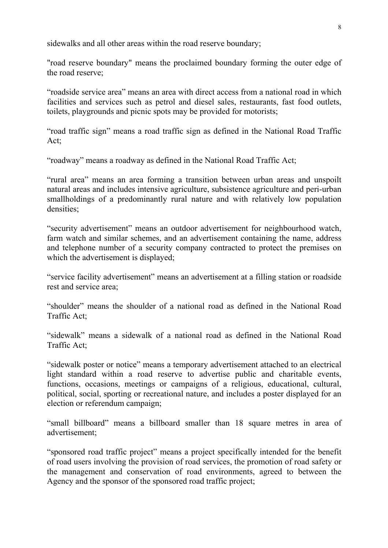sidewalks and all other areas within the road reserve boundary;

"road reserve boundary" means the proclaimed boundary forming the outer edge of the road reserve;

"roadside service area" means an area with direct access from a national road in which facilities and services such as petrol and diesel sales, restaurants, fast food outlets, toilets, playgrounds and picnic spots may be provided for motorists;

"road traffic sign" means a road traffic sign as defined in the National Road Traffic Act;

"roadway" means a roadway as defined in the National Road Traffic Act;

"rural area" means an area forming a transition between urban areas and unspoilt natural areas and includes intensive agriculture, subsistence agriculture and peri-urban smallholdings of a predominantly rural nature and with relatively low population densities;

"security advertisement" means an outdoor advertisement for neighbourhood watch, farm watch and similar schemes, and an advertisement containing the name, address and telephone number of a security company contracted to protect the premises on which the advertisement is displayed;

"service facility advertisement" means an advertisement at a filling station or roadside rest and service area;

"shoulder" means the shoulder of a national road as defined in the National Road Traffic Act;

"sidewalk" means a sidewalk of a national road as defined in the National Road Traffic Act;

"sidewalk poster or notice" means a temporary advertisement attached to an electrical light standard within a road reserve to advertise public and charitable events, functions, occasions, meetings or campaigns of a religious, educational, cultural, political, social, sporting or recreational nature, and includes a poster displayed for an election or referendum campaign;

"small billboard" means a billboard smaller than 18 square metres in area of advertisement;

"sponsored road traffic project" means a project specifically intended for the benefit of road users involving the provision of road services, the promotion of road safety or the management and conservation of road environments, agreed to between the Agency and the sponsor of the sponsored road traffic project;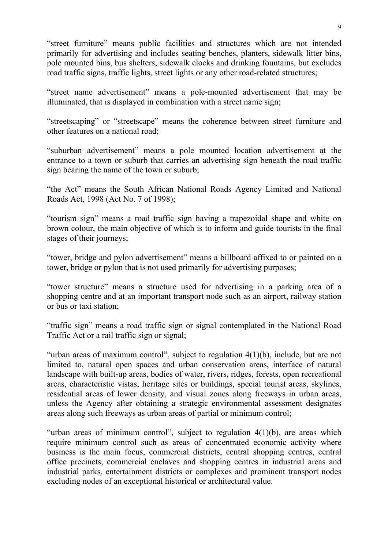"street furniture" means public facilities and structures which are not intended primarily for advertising and includes seating benches, planters, sidewalk litter bins, pole mounted bins, bus shelters, sidewalk clocks and drinking fountains, but excludes road traffic signs, traffic lights, street lights or any other road-related structures;

"street name advertisement" means a pole-mounted advertisement that may be illuminated, that is displayed in combination with a street name sign;

"streetscaping" or "streetscape" means the coherence between street furniture and other features on a national road;

"suburban advertisement" means a pole mounted location advertisement at the entrance to a town or suburb that carries an advertising sign beneath the road traffic sign bearing the name of the town or suburb;

"the Act" means the South African National Roads Agency Limited and National Roads Act, 1998 (Act No. 7 of 1998);

"tourism sign" means a road traffic sign having a trapezoidal shape and white on brown colour, the main objective of which is to inform and guide tourists in the final stages of their journeys;

"tower, bridge and pylon advertisement" means a billboard affixed to or painted on a tower, bridge or pylon that is not used primarily for advertising purposes;

"tower structure" means a structure used for advertising in a parking area of a shopping centre and at an important transport node such as an airport, railway station or bus or taxi station;

"traffic sign" means a road traffic sign or signal contemplated in the National Road Traffic Act or a rail traffic sign or signal;

"urban areas of maximum control", subject to regulation  $4(1)(b)$ , include, but are not limited to, natural open spaces and urban conservation areas, interface of natural landscape with built-up areas, bodies of water, rivers, ridges, forests, open recreational areas, characteristic vistas, heritage sites or buildings, special tourist areas, skylines, residential areas of lower density, and visual zones along freeways in urban areas, unless the Agency after obtaining a strategic environmental assessment designates areas along such freeways as urban areas of partial or minimum control;

"urban areas of minimum control", subject to regulation  $4(1)(b)$ , are areas which require minimum control such as areas of concentrated economic activity where business is the main focus, commercial districts, central shopping centres, central office precincts, commercial enclaves and shopping centres in industrial areas and industrial parks, entertainment districts or complexes and prominent transport nodes excluding nodes of an exceptional historical or architectural value.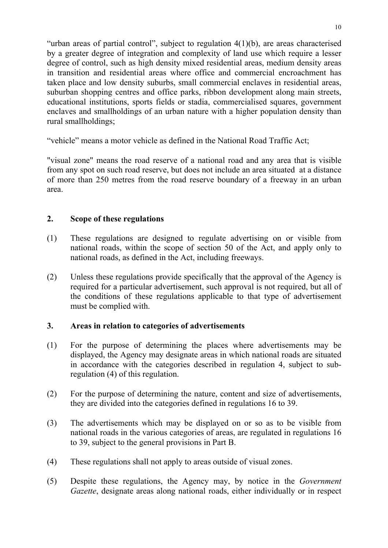"urban areas of partial control", subject to regulation  $4(1)(b)$ , are areas characterised by a greater degree of integration and complexity of land use which require a lesser degree of control, such as high density mixed residential areas, medium density areas in transition and residential areas where office and commercial encroachment has taken place and low density suburbs, small commercial enclaves in residential areas, suburban shopping centres and office parks, ribbon development along main streets, educational institutions, sports fields or stadia, commercialised squares, government enclaves and smallholdings of an urban nature with a higher population density than rural smallholdings;

"vehicle" means a motor vehicle as defined in the National Road Traffic Act;

"visual zone" means the road reserve of a national road and any area that is visible from any spot on such road reserve, but does not include an area situated at a distance of more than 250 metres from the road reserve boundary of a freeway in an urban area.

## **2. Scope of these regulations**

- (1) These regulations are designed to regulate advertising on or visible from national roads, within the scope of section 50 of the Act, and apply only to national roads, as defined in the Act, including freeways.
- (2) Unless these regulations provide specifically that the approval of the Agency is required for a particular advertisement, such approval is not required, but all of the conditions of these regulations applicable to that type of advertisement must be complied with.

## **3. Areas in relation to categories of advertisements**

- (1) For the purpose of determining the places where advertisements may be displayed, the Agency may designate areas in which national roads are situated in accordance with the categories described in regulation 4, subject to subregulation (4) of this regulation.
- (2) For the purpose of determining the nature, content and size of advertisements, they are divided into the categories defined in regulations 16 to 39.
- (3) The advertisements which may be displayed on or so as to be visible from national roads in the various categories of areas, are regulated in regulations 16 to 39, subject to the general provisions in Part B.
- (4) These regulations shall not apply to areas outside of visual zones.
- (5) Despite these regulations, the Agency may, by notice in the *Government Gazette*, designate areas along national roads, either individually or in respect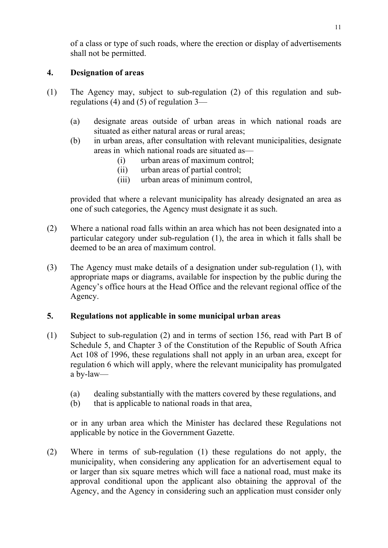of a class or type of such roads, where the erection or display of advertisements shall not be permitted.

## **4. Designation of areas**

- (1) The Agency may, subject to sub-regulation (2) of this regulation and subregulations (4) and (5) of regulation 3—
	- (a) designate areas outside of urban areas in which national roads are situated as either natural areas or rural areas;
	- (b) in urban areas, after consultation with relevant municipalities, designate areas in which national roads are situated as—
		- (i) urban areas of maximum control;
		- (ii) urban areas of partial control;
		- (iii) urban areas of minimum control,

provided that where a relevant municipality has already designated an area as one of such categories, the Agency must designate it as such.

- (2) Where a national road falls within an area which has not been designated into a particular category under sub-regulation (1), the area in which it falls shall be deemed to be an area of maximum control.
- (3) The Agency must make details of a designation under sub-regulation (1), with appropriate maps or diagrams, available for inspection by the public during the Agency's office hours at the Head Office and the relevant regional office of the Agency.

## **5. Regulations not applicable in some municipal urban areas**

- (1) Subject to sub-regulation (2) and in terms of section 156, read with Part B of Schedule 5, and Chapter 3 of the Constitution of the Republic of South Africa Act 108 of 1996, these regulations shall not apply in an urban area, except for regulation 6 which will apply, where the relevant municipality has promulgated a by-law—
	- (a) dealing substantially with the matters covered by these regulations, and
	- (b) that is applicable to national roads in that area,

or in any urban area which the Minister has declared these Regulations not applicable by notice in the Government Gazette.

(2) Where in terms of sub-regulation (1) these regulations do not apply, the municipality, when considering any application for an advertisement equal to or larger than six square metres which will face a national road, must make its approval conditional upon the applicant also obtaining the approval of the Agency, and the Agency in considering such an application must consider only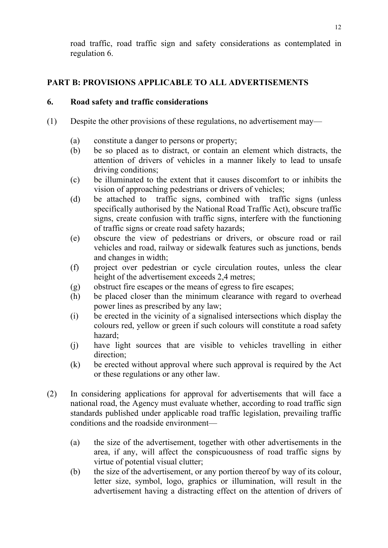road traffic, road traffic sign and safety considerations as contemplated in regulation 6.

# **PART B: PROVISIONS APPLICABLE TO ALL ADVERTISEMENTS**

## **6. Road safety and traffic considerations**

- (1) Despite the other provisions of these regulations, no advertisement may—
	- (a) constitute a danger to persons or property;
	- (b) be so placed as to distract, or contain an element which distracts, the attention of drivers of vehicles in a manner likely to lead to unsafe driving conditions;
	- (c) be illuminated to the extent that it causes discomfort to or inhibits the vision of approaching pedestrians or drivers of vehicles;
	- (d) be attached to traffic signs, combined with traffic signs (unless specifically authorised by the National Road Traffic Act), obscure traffic signs, create confusion with traffic signs, interfere with the functioning of traffic signs or create road safety hazards;
	- (e) obscure the view of pedestrians or drivers, or obscure road or rail vehicles and road, railway or sidewalk features such as junctions, bends and changes in width;
	- (f) project over pedestrian or cycle circulation routes, unless the clear height of the advertisement exceeds 2,4 metres;
	- (g) obstruct fire escapes or the means of egress to fire escapes;
	- (h) be placed closer than the minimum clearance with regard to overhead power lines as prescribed by any law;
	- (i) be erected in the vicinity of a signalised intersections which display the colours red, yellow or green if such colours will constitute a road safety hazard;
	- (j) have light sources that are visible to vehicles travelling in either direction;
	- (k) be erected without approval where such approval is required by the Act or these regulations or any other law.
- (2) In considering applications for approval for advertisements that will face a national road, the Agency must evaluate whether, according to road traffic sign standards published under applicable road traffic legislation, prevailing traffic conditions and the roadside environment—
	- (a) the size of the advertisement, together with other advertisements in the area, if any, will affect the conspicuousness of road traffic signs by virtue of potential visual clutter;
	- (b) the size of the advertisement, or any portion thereof by way of its colour, letter size, symbol, logo, graphics or illumination, will result in the advertisement having a distracting effect on the attention of drivers of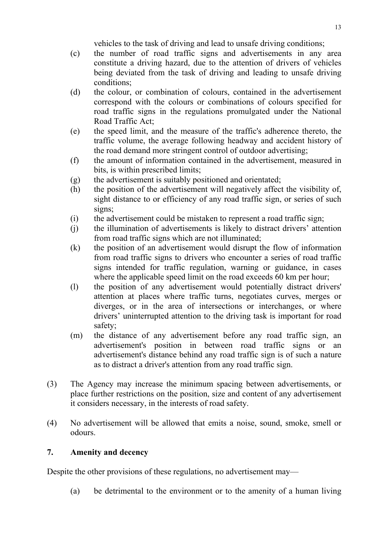vehicles to the task of driving and lead to unsafe driving conditions;

- (c) the number of road traffic signs and advertisements in any area constitute a driving hazard, due to the attention of drivers of vehicles being deviated from the task of driving and leading to unsafe driving conditions;
- (d) the colour, or combination of colours, contained in the advertisement correspond with the colours or combinations of colours specified for road traffic signs in the regulations promulgated under the National Road Traffic Act;
- (e) the speed limit, and the measure of the traffic's adherence thereto, the traffic volume, the average following headway and accident history of the road demand more stringent control of outdoor advertising;
- (f) the amount of information contained in the advertisement, measured in bits, is within prescribed limits;
- (g) the advertisement is suitably positioned and orientated;
- (h) the position of the advertisement will negatively affect the visibility of, sight distance to or efficiency of any road traffic sign, or series of such signs;
- (i) the advertisement could be mistaken to represent a road traffic sign;
- (j) the illumination of advertisements is likely to distract drivers' attention from road traffic signs which are not illuminated;
- (k) the position of an advertisement would disrupt the flow of information from road traffic signs to drivers who encounter a series of road traffic signs intended for traffic regulation, warning or guidance, in cases where the applicable speed limit on the road exceeds 60 km per hour;
- (l) the position of any advertisement would potentially distract drivers' attention at places where traffic turns, negotiates curves, merges or diverges, or in the area of intersections or interchanges, or where drivers' uninterrupted attention to the driving task is important for road safety;
- (m) the distance of any advertisement before any road traffic sign, an advertisement's position in between road traffic signs or an advertisement's distance behind any road traffic sign is of such a nature as to distract a driver's attention from any road traffic sign.
- (3) The Agency may increase the minimum spacing between advertisements, or place further restrictions on the position, size and content of any advertisement it considers necessary, in the interests of road safety.
- (4) No advertisement will be allowed that emits a noise, sound, smoke, smell or odours.

# **7. Amenity and decency**

Despite the other provisions of these regulations, no advertisement may—

(a) be detrimental to the environment or to the amenity of a human living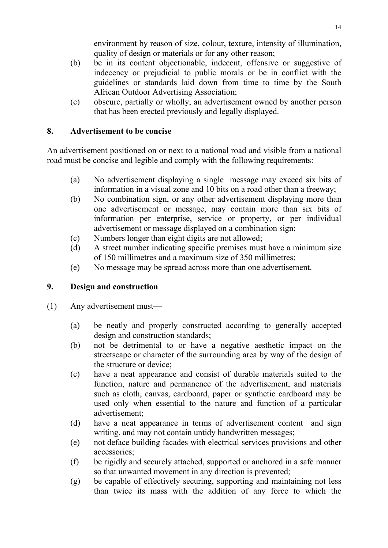environment by reason of size, colour, texture, intensity of illumination, quality of design or materials or for any other reason;

- (b) be in its content objectionable, indecent, offensive or suggestive of indecency or prejudicial to public morals or be in conflict with the guidelines or standards laid down from time to time by the South African Outdoor Advertising Association;
- (c) obscure, partially or wholly, an advertisement owned by another person that has been erected previously and legally displayed.

# **8. Advertisement to be concise**

An advertisement positioned on or next to a national road and visible from a national road must be concise and legible and comply with the following requirements:

- (a) No advertisement displaying a single message may exceed six bits of information in a visual zone and 10 bits on a road other than a freeway;
- (b) No combination sign, or any other advertisement displaying more than one advertisement or message, may contain more than six bits of information per enterprise, service or property, or per individual advertisement or message displayed on a combination sign;
- (c) Numbers longer than eight digits are not allowed;
- (d) A street number indicating specific premises must have a minimum size of 150 millimetres and a maximum size of 350 millimetres;
- (e) No message may be spread across more than one advertisement.

# **9. Design and construction**

- (1) Any advertisement must—
	- (a) be neatly and properly constructed according to generally accepted design and construction standards;
	- (b) not be detrimental to or have a negative aesthetic impact on the streetscape or character of the surrounding area by way of the design of the structure or device;
	- (c) have a neat appearance and consist of durable materials suited to the function, nature and permanence of the advertisement, and materials such as cloth, canvas, cardboard, paper or synthetic cardboard may be used only when essential to the nature and function of a particular advertisement;
	- (d) have a neat appearance in terms of advertisement content and sign writing, and may not contain untidy handwritten messages;
	- (e) not deface building facades with electrical services provisions and other accessories;
	- (f) be rigidly and securely attached, supported or anchored in a safe manner so that unwanted movement in any direction is prevented;
	- (g) be capable of effectively securing, supporting and maintaining not less than twice its mass with the addition of any force to which the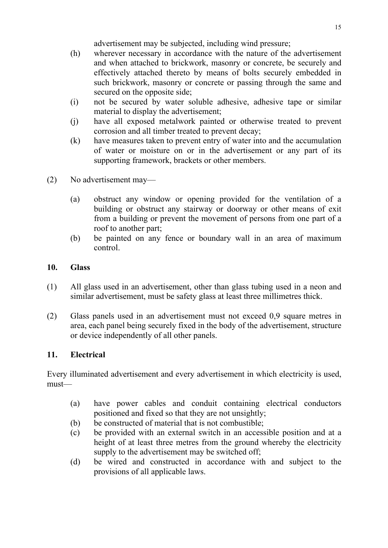advertisement may be subjected, including wind pressure;

- (h) wherever necessary in accordance with the nature of the advertisement and when attached to brickwork, masonry or concrete, be securely and effectively attached thereto by means of bolts securely embedded in such brickwork, masonry or concrete or passing through the same and secured on the opposite side;
- (i) not be secured by water soluble adhesive, adhesive tape or similar material to display the advertisement;
- (j) have all exposed metalwork painted or otherwise treated to prevent corrosion and all timber treated to prevent decay;
- (k) have measures taken to prevent entry of water into and the accumulation of water or moisture on or in the advertisement or any part of its supporting framework, brackets or other members.
- (2) No advertisement may—
	- (a) obstruct any window or opening provided for the ventilation of a building or obstruct any stairway or doorway or other means of exit from a building or prevent the movement of persons from one part of a roof to another part;
	- (b) be painted on any fence or boundary wall in an area of maximum control.

# **10. Glass**

- (1) All glass used in an advertisement, other than glass tubing used in a neon and similar advertisement, must be safety glass at least three millimetres thick.
- (2) Glass panels used in an advertisement must not exceed 0,9 square metres in area, each panel being securely fixed in the body of the advertisement, structure or device independently of all other panels.

# **11. Electrical**

Every illuminated advertisement and every advertisement in which electricity is used, must—

- (a) have power cables and conduit containing electrical conductors positioned and fixed so that they are not unsightly;
- (b) be constructed of material that is not combustible;
- (c) be provided with an external switch in an accessible position and at a height of at least three metres from the ground whereby the electricity supply to the advertisement may be switched off;
- (d) be wired and constructed in accordance with and subject to the provisions of all applicable laws.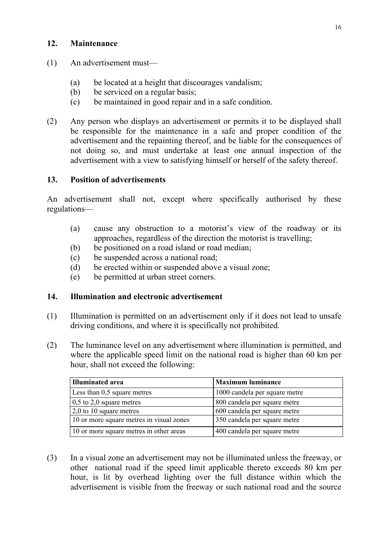### **12. Maintenance**

- (1) An advertisement must—
	- (a) be located at a height that discourages vandalism;
	- (b) be serviced on a regular basis;
	- (c) be maintained in good repair and in a safe condition.
- (2) Any person who displays an advertisement or permits it to be displayed shall be responsible for the maintenance in a safe and proper condition of the advertisement and the repainting thereof, and be liable for the consequences of not doing so, and must undertake at least one annual inspection of the advertisement with a view to satisfying himself or herself of the safety thereof.

### **13. Position of advertisements**

An advertisement shall not, except where specifically authorised by these regulations—

- (a) cause any obstruction to a motorist's view of the roadway or its approaches, regardless of the direction the motorist is travelling;
- (b) be positioned on a road island or road median;
- (c) be suspended across a national road;
- (d) be erected within or suspended above a visual zone;
- (e) be permitted at urban street corners.

### **14. Illumination and electronic advertisement**

- (1) Illumination is permitted on an advertisement only if it does not lead to unsafe driving conditions, and where it is specifically not prohibited.
- (2) The luminance level on any advertisement where illumination is permitted, and where the applicable speed limit on the national road is higher than 60 km per hour, shall not exceed the following:

| <b>Illuminated area</b>                  | <b>Maximum luminance</b>      |
|------------------------------------------|-------------------------------|
| Less than 0,5 square metres              | 1000 candela per square metre |
| $0,5$ to 2,0 square metres               | 800 candela per square metre  |
| $2,0$ to 10 square metres                | 600 candela per square metre  |
| 10 or more square metres in visual zones | 350 candela per square metre  |
| 10 or more square metres in other areas  | 400 candela per square metre  |

(3) In a visual zone an advertisement may not be illuminated unless the freeway, or other national road if the speed limit applicable thereto exceeds 80 km per hour, is lit by overhead lighting over the full distance within which the advertisement is visible from the freeway or such national road and the source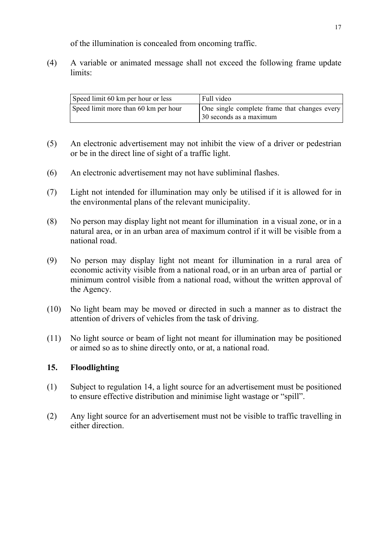of the illumination is concealed from oncoming traffic.

(4) A variable or animated message shall not exceed the following frame update limits:

| Speed limit 60 km per hour or less   | Full video                                                              |
|--------------------------------------|-------------------------------------------------------------------------|
| Speed limit more than 60 km per hour | One single complete frame that changes every<br>30 seconds as a maximum |

- (5) An electronic advertisement may not inhibit the view of a driver or pedestrian or be in the direct line of sight of a traffic light.
- (6) An electronic advertisement may not have subliminal flashes.
- (7) Light not intended for illumination may only be utilised if it is allowed for in the environmental plans of the relevant municipality.
- (8) No person may display light not meant for illumination in a visual zone, or in a natural area, or in an urban area of maximum control if it will be visible from a national road.
- (9) No person may display light not meant for illumination in a rural area of economic activity visible from a national road, or in an urban area of partial or minimum control visible from a national road, without the written approval of the Agency.
- (10) No light beam may be moved or directed in such a manner as to distract the attention of drivers of vehicles from the task of driving.
- (11) No light source or beam of light not meant for illumination may be positioned or aimed so as to shine directly onto, or at, a national road.

#### **15. Floodlighting**

- (1) Subject to regulation 14, a light source for an advertisement must be positioned to ensure effective distribution and minimise light wastage or "spill".
- (2) Any light source for an advertisement must not be visible to traffic travelling in either direction.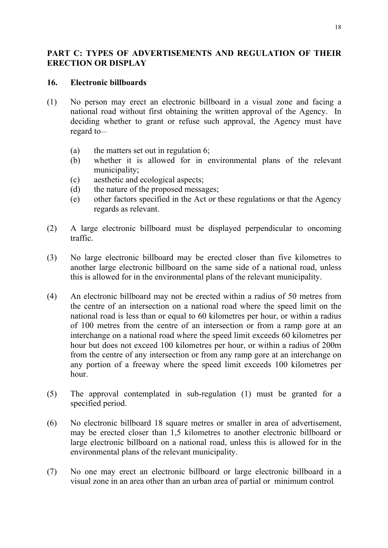## **PART C: TYPES OF ADVERTISEMENTS AND REGULATION OF THEIR ERECTION OR DISPLAY**

### **16. Electronic billboards**

- (1) No person may erect an electronic billboard in a visual zone and facing a national road without first obtaining the written approval of the Agency. In deciding whether to grant or refuse such approval, the Agency must have regard to—
	- (a) the matters set out in regulation 6;
	- (b) whether it is allowed for in environmental plans of the relevant municipality;
	- (c) aesthetic and ecological aspects;
	- (d) the nature of the proposed messages;
	- (e) other factors specified in the Act or these regulations or that the Agency regards as relevant.
- (2) A large electronic billboard must be displayed perpendicular to oncoming traffic.
- (3) No large electronic billboard may be erected closer than five kilometres to another large electronic billboard on the same side of a national road, unless this is allowed for in the environmental plans of the relevant municipality.
- (4) An electronic billboard may not be erected within a radius of 50 metres from the centre of an intersection on a national road where the speed limit on the national road is less than or equal to 60 kilometres per hour, or within a radius of 100 metres from the centre of an intersection or from a ramp gore at an interchange on a national road where the speed limit exceeds 60 kilometres per hour but does not exceed 100 kilometres per hour, or within a radius of 200m from the centre of any intersection or from any ramp gore at an interchange on any portion of a freeway where the speed limit exceeds 100 kilometres per hour.
- (5) The approval contemplated in sub-regulation (1) must be granted for a specified period.
- (6) No electronic billboard 18 square metres or smaller in area of advertisement, may be erected closer than 1,5 kilometres to another electronic billboard or large electronic billboard on a national road, unless this is allowed for in the environmental plans of the relevant municipality.
- (7) No one may erect an electronic billboard or large electronic billboard in a visual zone in an area other than an urban area of partial or minimum control*.*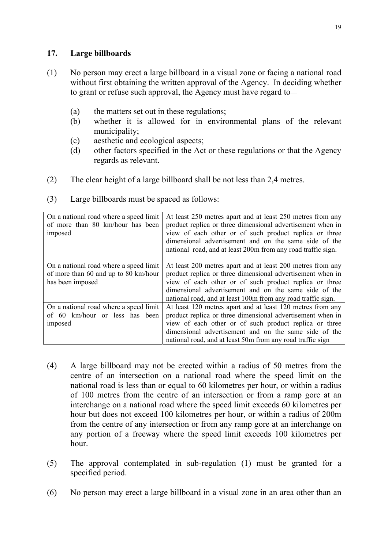### **17. Large billboards**

- (1) No person may erect a large billboard in a visual zone or facing a national road without first obtaining the written approval of the Agency. In deciding whether to grant or refuse such approval, the Agency must have regard to—
	- (a) the matters set out in these regulations;
	- (b) whether it is allowed for in environmental plans of the relevant municipality;
	- (c) aesthetic and ecological aspects;
	- (d) other factors specified in the Act or these regulations or that the Agency regards as relevant.
- (2) The clear height of a large billboard shall be not less than 2,4 metres.

| On a national road where a speed limit<br>of more than 80 km/hour has been<br>imposed | At least 250 metres apart and at least 250 metres from any<br>product replica or three dimensional advertisement when in<br>view of each other or of such product replica or three<br>dimensional advertisement and on the same side of the<br>national road, and at least 200m from any road traffic sign. |
|---------------------------------------------------------------------------------------|-------------------------------------------------------------------------------------------------------------------------------------------------------------------------------------------------------------------------------------------------------------------------------------------------------------|
| On a national road where a speed limit<br>of more than 60 and up to 80 km/hour        | At least 200 metres apart and at least 200 metres from any<br>product replica or three dimensional advertisement when in                                                                                                                                                                                    |
| has been imposed                                                                      | view of each other or of such product replica or three<br>dimensional advertisement and on the same side of the                                                                                                                                                                                             |
|                                                                                       | national road, and at least 100m from any road traffic sign.                                                                                                                                                                                                                                                |
| On a national road where a speed limit                                                | At least 120 metres apart and at least 120 metres from any                                                                                                                                                                                                                                                  |
| of 60 km/hour or less has been                                                        | product replica or three dimensional advertisement when in                                                                                                                                                                                                                                                  |
| imposed                                                                               | view of each other or of such product replica or three                                                                                                                                                                                                                                                      |
|                                                                                       | dimensional advertisement and on the same side of the                                                                                                                                                                                                                                                       |
|                                                                                       | national road, and at least 50m from any road traffic sign                                                                                                                                                                                                                                                  |

(3) Large billboards must be spaced as follows:

- (4) A large billboard may not be erected within a radius of 50 metres from the centre of an intersection on a national road where the speed limit on the national road is less than or equal to 60 kilometres per hour, or within a radius of 100 metres from the centre of an intersection or from a ramp gore at an interchange on a national road where the speed limit exceeds 60 kilometres per hour but does not exceed 100 kilometres per hour, or within a radius of 200m from the centre of any intersection or from any ramp gore at an interchange on any portion of a freeway where the speed limit exceeds 100 kilometres per hour.
- (5) The approval contemplated in sub-regulation (1) must be granted for a specified period.
- (6) No person may erect a large billboard in a visual zone in an area other than an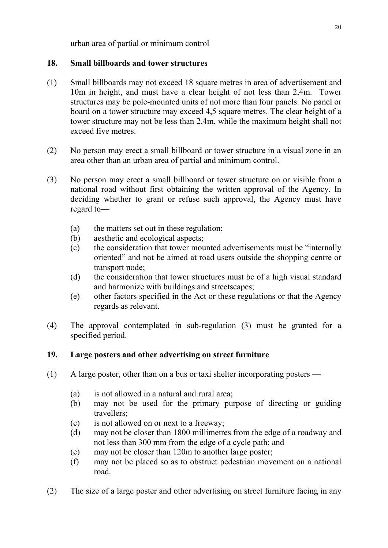urban area of partial or minimum control

## **18. Small billboards and tower structures**

- (1) Small billboards may not exceed 18 square metres in area of advertisement and 10m in height, and must have a clear height of not less than 2,4m. Tower structures may be pole-mounted units of not more than four panels. No panel or board on a tower structure may exceed 4,5 square metres. The clear height of a tower structure may not be less than 2,4m, while the maximum height shall not exceed five metres.
- (2) No person may erect a small billboard or tower structure in a visual zone in an area other than an urban area of partial and minimum control.
- (3) No person may erect a small billboard or tower structure on or visible from a national road without first obtaining the written approval of the Agency. In deciding whether to grant or refuse such approval, the Agency must have regard to—
	- (a) the matters set out in these regulation;
	- (b) aesthetic and ecological aspects;
	- (c) the consideration that tower mounted advertisements must be "internally oriented" and not be aimed at road users outside the shopping centre or transport node;
	- (d) the consideration that tower structures must be of a high visual standard and harmonize with buildings and streetscapes;
	- (e) other factors specified in the Act or these regulations or that the Agency regards as relevant.
- (4) The approval contemplated in sub-regulation (3) must be granted for a specified period.

# **19. Large posters and other advertising on street furniture**

- (1) A large poster, other than on a bus or taxi shelter incorporating posters
	- (a) is not allowed in a natural and rural area;
	- (b) may not be used for the primary purpose of directing or guiding travellers;
	- (c) is not allowed on or next to a freeway;
	- (d) may not be closer than 1800 millimetres from the edge of a roadway and not less than 300 mm from the edge of a cycle path; and
	- (e) may not be closer than 120m to another large poster;
	- (f) may not be placed so as to obstruct pedestrian movement on a national road.
- (2) The size of a large poster and other advertising on street furniture facing in any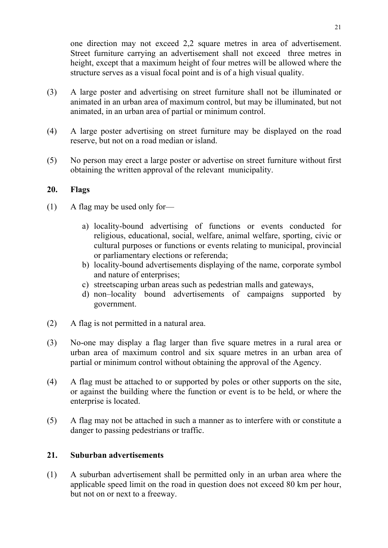one direction may not exceed 2,2 square metres in area of advertisement. Street furniture carrying an advertisement shall not exceed three metres in height, except that a maximum height of four metres will be allowed where the structure serves as a visual focal point and is of a high visual quality.

- (3) A large poster and advertising on street furniture shall not be illuminated or animated in an urban area of maximum control, but may be illuminated, but not animated, in an urban area of partial or minimum control.
- (4) A large poster advertising on street furniture may be displayed on the road reserve, but not on a road median or island.
- (5) No person may erect a large poster or advertise on street furniture without first obtaining the written approval of the relevant municipality.

#### **20. Flags**

- (1) A flag may be used only for
	- a) locality-bound advertising of functions or events conducted for religious, educational, social, welfare, animal welfare, sporting, civic or cultural purposes or functions or events relating to municipal, provincial or parliamentary elections or referenda;
	- b) locality-bound advertisements displaying of the name, corporate symbol and nature of enterprises;
	- c) streetscaping urban areas such as pedestrian malls and gateways,
	- d) non–locality bound advertisements of campaigns supported by government.
- (2) A flag is not permitted in a natural area.
- (3) No-one may display a flag larger than five square metres in a rural area or urban area of maximum control and six square metres in an urban area of partial or minimum control without obtaining the approval of the Agency.
- (4) A flag must be attached to or supported by poles or other supports on the site, or against the building where the function or event is to be held, or where the enterprise is located.
- (5) A flag may not be attached in such a manner as to interfere with or constitute a danger to passing pedestrians or traffic.

#### **21. Suburban advertisements**

(1) A suburban advertisement shall be permitted only in an urban area where the applicable speed limit on the road in question does not exceed 80 km per hour, but not on or next to a freeway.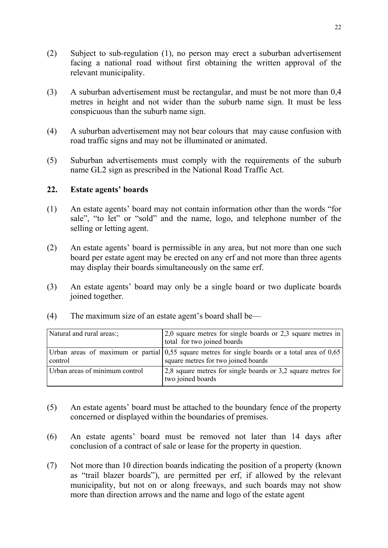- (2) Subject to sub-regulation (1), no person may erect a suburban advertisement facing a national road without first obtaining the written approval of the relevant municipality.
- (3) A suburban advertisement must be rectangular, and must be not more than 0,4 metres in height and not wider than the suburb name sign. It must be less conspicuous than the suburb name sign.
- (4) A suburban advertisement may not bear colours that may cause confusion with road traffic signs and may not be illuminated or animated.
- (5) Suburban advertisements must comply with the requirements of the suburb name GL2 sign as prescribed in the National Road Traffic Act.

## **22. Estate agents' boards**

- (1) An estate agents' board may not contain information other than the words "for sale", "to let" or "sold" and the name, logo, and telephone number of the selling or letting agent.
- (2) An estate agents' board is permissible in any area, but not more than one such board per estate agent may be erected on any erf and not more than three agents may display their boards simultaneously on the same erf.
- (3) An estate agents' board may only be a single board or two duplicate boards joined together.

| (4) |  | The maximum size of an estate agent's board shall be— |
|-----|--|-------------------------------------------------------|
|     |  |                                                       |

| Natural and rural areas:       | $2,0$ square metres for single boards or 2,3 square metres in<br>total for two joined boards                                            |
|--------------------------------|-----------------------------------------------------------------------------------------------------------------------------------------|
| control                        | Urban areas of maximum or partial $0.55$ square metres for single boards or a total area of 0.65<br>square metres for two joined boards |
| Urban areas of minimum control | 2,8 square metres for single boards or 3,2 square metres for<br>two joined boards                                                       |

- (5) An estate agents' board must be attached to the boundary fence of the property concerned or displayed within the boundaries of premises.
- (6) An estate agents' board must be removed not later than 14 days after conclusion of a contract of sale or lease for the property in question.
- (7) Not more than 10 direction boards indicating the position of a property (known as "trail blazer boards"), are permitted per erf, if allowed by the relevant municipality, but not on or along freeways, and such boards may not show more than direction arrows and the name and logo of the estate agent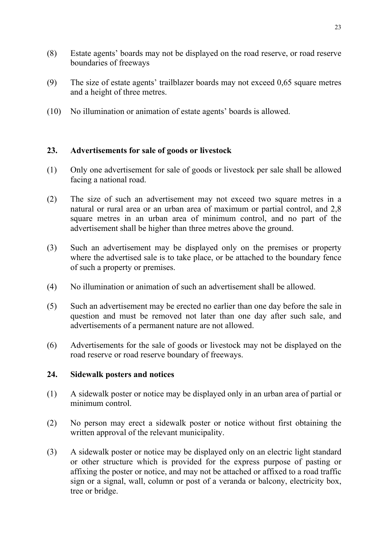- (8) Estate agents' boards may not be displayed on the road reserve, or road reserve boundaries of freeways
- (9) The size of estate agents' trailblazer boards may not exceed 0.65 square metres and a height of three metres.
- (10) No illumination or animation of estate agents' boards is allowed.

# **23. Advertisements for sale of goods or livestock**

- (1) Only one advertisement for sale of goods or livestock per sale shall be allowed facing a national road.
- (2) The size of such an advertisement may not exceed two square metres in a natural or rural area or an urban area of maximum or partial control, and 2,8 square metres in an urban area of minimum control, and no part of the advertisement shall be higher than three metres above the ground.
- (3) Such an advertisement may be displayed only on the premises or property where the advertised sale is to take place, or be attached to the boundary fence of such a property or premises.
- (4) No illumination or animation of such an advertisement shall be allowed.
- (5) Such an advertisement may be erected no earlier than one day before the sale in question and must be removed not later than one day after such sale, and advertisements of a permanent nature are not allowed.
- (6) Advertisements for the sale of goods or livestock may not be displayed on the road reserve or road reserve boundary of freeways.

## **24. Sidewalk posters and notices**

- (1) A sidewalk poster or notice may be displayed only in an urban area of partial or minimum control.
- (2) No person may erect a sidewalk poster or notice without first obtaining the written approval of the relevant municipality.
- (3) A sidewalk poster or notice may be displayed only on an electric light standard or other structure which is provided for the express purpose of pasting or affixing the poster or notice, and may not be attached or affixed to a road traffic sign or a signal, wall, column or post of a veranda or balcony, electricity box, tree or bridge.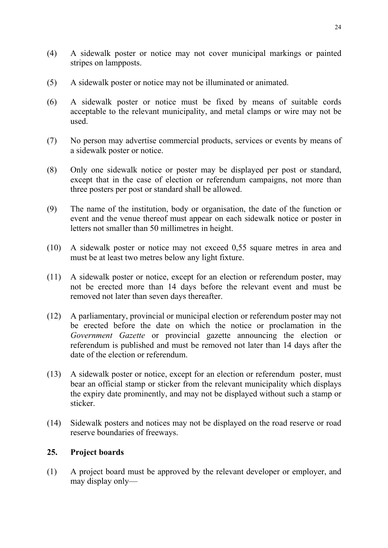- (4) A sidewalk poster or notice may not cover municipal markings or painted stripes on lampposts.
- (5) A sidewalk poster or notice may not be illuminated or animated.
- (6) A sidewalk poster or notice must be fixed by means of suitable cords acceptable to the relevant municipality, and metal clamps or wire may not be used.
- (7) No person may advertise commercial products, services or events by means of a sidewalk poster or notice.
- (8) Only one sidewalk notice or poster may be displayed per post or standard, except that in the case of election or referendum campaigns, not more than three posters per post or standard shall be allowed.
- (9) The name of the institution, body or organisation, the date of the function or event and the venue thereof must appear on each sidewalk notice or poster in letters not smaller than 50 millimetres in height.
- (10) A sidewalk poster or notice may not exceed 0,55 square metres in area and must be at least two metres below any light fixture.
- (11) A sidewalk poster or notice, except for an election or referendum poster, may not be erected more than 14 days before the relevant event and must be removed not later than seven days thereafter.
- (12) A parliamentary, provincial or municipal election or referendum poster may not be erected before the date on which the notice or proclamation in the *Government Gazette* or provincial gazette announcing the election or referendum is published and must be removed not later than 14 days after the date of the election or referendum.
- (13) A sidewalk poster or notice, except for an election or referendum poster, must bear an official stamp or sticker from the relevant municipality which displays the expiry date prominently, and may not be displayed without such a stamp or sticker.
- (14) Sidewalk posters and notices may not be displayed on the road reserve or road reserve boundaries of freeways.

## **25. Project boards**

(1) A project board must be approved by the relevant developer or employer, and may display only—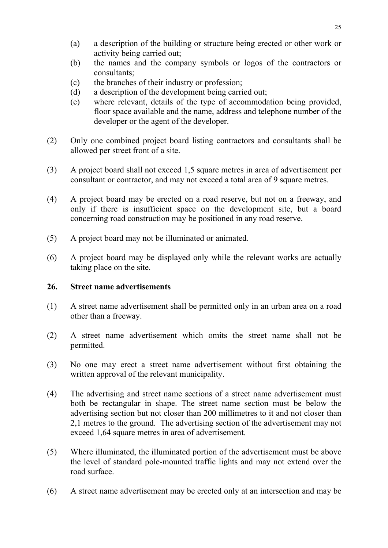- (a) a description of the building or structure being erected or other work or activity being carried out;
- (b) the names and the company symbols or logos of the contractors or consultants;
- (c) the branches of their industry or profession;
- (d) a description of the development being carried out;
- (e) where relevant, details of the type of accommodation being provided, floor space available and the name, address and telephone number of the developer or the agent of the developer.
- (2) Only one combined project board listing contractors and consultants shall be allowed per street front of a site.
- (3) A project board shall not exceed 1,5 square metres in area of advertisement per consultant or contractor, and may not exceed a total area of 9 square metres.
- (4) A project board may be erected on a road reserve, but not on a freeway, and only if there is insufficient space on the development site, but a board concerning road construction may be positioned in any road reserve.
- (5) A project board may not be illuminated or animated.
- (6) A project board may be displayed only while the relevant works are actually taking place on the site.

#### **26. Street name advertisements**

- (1) A street name advertisement shall be permitted only in an urban area on a road other than a freeway.
- (2) A street name advertisement which omits the street name shall not be permitted.
- (3) No one may erect a street name advertisement without first obtaining the written approval of the relevant municipality.
- (4) The advertising and street name sections of a street name advertisement must both be rectangular in shape. The street name section must be below the advertising section but not closer than 200 millimetres to it and not closer than 2,1 metres to the ground. The advertising section of the advertisement may not exceed 1,64 square metres in area of advertisement.
- (5) Where illuminated, the illuminated portion of the advertisement must be above the level of standard pole-mounted traffic lights and may not extend over the road surface.
- (6) A street name advertisement may be erected only at an intersection and may be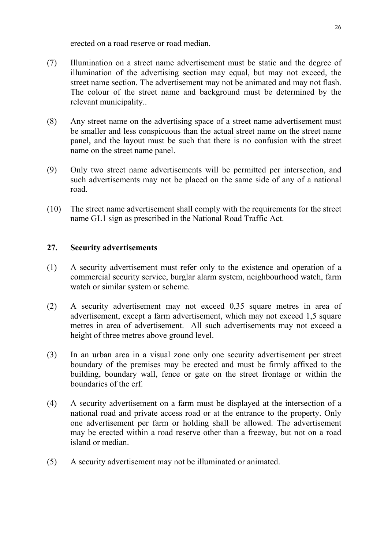erected on a road reserve or road median.

- (7) Illumination on a street name advertisement must be static and the degree of illumination of the advertising section may equal, but may not exceed, the street name section. The advertisement may not be animated and may not flash. The colour of the street name and background must be determined by the relevant municipality..
- (8) Any street name on the advertising space of a street name advertisement must be smaller and less conspicuous than the actual street name on the street name panel, and the layout must be such that there is no confusion with the street name on the street name panel.
- (9) Only two street name advertisements will be permitted per intersection, and such advertisements may not be placed on the same side of any of a national road.
- (10) The street name advertisement shall comply with the requirements for the street name GL1 sign as prescribed in the National Road Traffic Act.

## **27. Security advertisements**

- (1) A security advertisement must refer only to the existence and operation of a commercial security service, burglar alarm system, neighbourhood watch, farm watch or similar system or scheme.
- (2) A security advertisement may not exceed 0,35 square metres in area of advertisement, except a farm advertisement, which may not exceed 1,5 square metres in area of advertisement. All such advertisements may not exceed a height of three metres above ground level.
- (3) In an urban area in a visual zone only one security advertisement per street boundary of the premises may be erected and must be firmly affixed to the building, boundary wall, fence or gate on the street frontage or within the boundaries of the erf.
- (4) A security advertisement on a farm must be displayed at the intersection of a national road and private access road or at the entrance to the property. Only one advertisement per farm or holding shall be allowed. The advertisement may be erected within a road reserve other than a freeway, but not on a road island or median.
- (5) A security advertisement may not be illuminated or animated.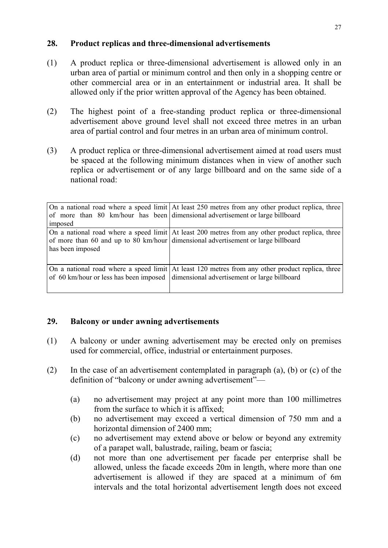### **28. Product replicas and three-dimensional advertisements**

- (1) A product replica or three-dimensional advertisement is allowed only in an urban area of partial or minimum control and then only in a shopping centre or other commercial area or in an entertainment or industrial area. It shall be allowed only if the prior written approval of the Agency has been obtained.
- (2) The highest point of a free-standing product replica or three-dimensional advertisement above ground level shall not exceed three metres in an urban area of partial control and four metres in an urban area of minimum control.
- (3) A product replica or three-dimensional advertisement aimed at road users must be spaced at the following minimum distances when in view of another such replica or advertisement or of any large billboard and on the same side of a national road:

|                  | On a national road where a speed limit At least 250 metres from any other product replica, three<br>of more than 80 km/hour has been dimensional advertisement or large billboard         |
|------------------|-------------------------------------------------------------------------------------------------------------------------------------------------------------------------------------------|
| imposed          |                                                                                                                                                                                           |
| has been imposed | On a national road where a speed limit At least 200 metres from any other product replica, three<br>of more than 60 and up to 80 km/hour dimensional advertisement or large billboard     |
|                  | On a national road where a speed limit At least 120 metres from any other product replica, three<br>of 60 km/hour or less has been imposed   dimensional advertisement or large billboard |

## **29. Balcony or under awning advertisements**

- (1) A balcony or under awning advertisement may be erected only on premises used for commercial, office, industrial or entertainment purposes.
- (2) In the case of an advertisement contemplated in paragraph (a), (b) or (c) of the definition of "balcony or under awning advertisement"—
	- (a) no advertisement may project at any point more than 100 millimetres from the surface to which it is affixed;
	- (b) no advertisement may exceed a vertical dimension of 750 mm and a horizontal dimension of 2400 mm;
	- (c) no advertisement may extend above or below or beyond any extremity of a parapet wall, balustrade, railing, beam or fascia;
	- (d) not more than one advertisement per facade per enterprise shall be allowed, unless the facade exceeds 20m in length, where more than one advertisement is allowed if they are spaced at a minimum of 6m intervals and the total horizontal advertisement length does not exceed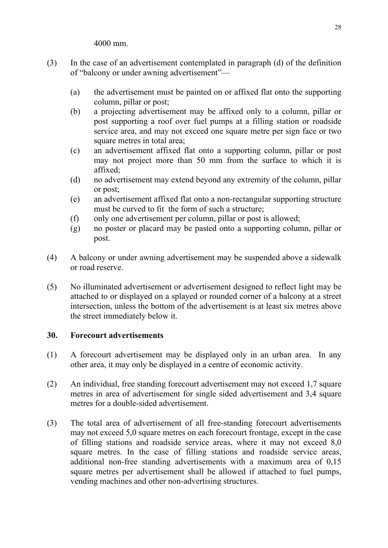4000 mm.

- (3) In the case of an advertisement contemplated in paragraph (d) of the definition of "balcony or under awning advertisement"—
	- (a) the advertisement must be painted on or affixed flat onto the supporting column, pillar or post;
	- (b) a projecting advertisement may be affixed only to a column, pillar or post supporting a roof over fuel pumps at a filling station or roadside service area, and may not exceed one square metre per sign face or two square metres in total area:
	- (c) an advertisement affixed flat onto a supporting column, pillar or post may not project more than 50 mm from the surface to which it is affixed;
	- (d) no advertisement may extend beyond any extremity of the column, pillar or post;
	- (e) an advertisement affixed flat onto a non-rectangular supporting structure must be curved to fit the form of such a structure;
	- (f) only one advertisement per column, pillar or post is allowed;
	- (g) no poster or placard may be pasted onto a supporting column, pillar or post.
- (4) A balcony or under awning advertisement may be suspended above a sidewalk or road reserve.
- (5) No illuminated advertisement or advertisement designed to reflect light may be attached to or displayed on a splayed or rounded corner of a balcony at a street intersection, unless the bottom of the advertisement is at least six metres above the street immediately below it.

## **30. Forecourt advertisements**

- (1) A forecourt advertisement may be displayed only in an urban area. In any other area, it may only be displayed in a centre of economic activity.
- (2) An individual, free standing forecourt advertisement may not exceed 1,7 square metres in area of advertisement for single sided advertisement and 3,4 square metres for a double-sided advertisement.
- (3) The total area of advertisement of all free-standing forecourt advertisements may not exceed 5,0 square metres on each forecourt frontage, except in the case of filling stations and roadside service areas, where it may not exceed 8,0 square metres. In the case of filling stations and roadside service areas, additional non-free standing advertisements with a maximum area of 0,15 square metres per advertisement shall be allowed if attached to fuel pumps, vending machines and other non-advertising structures.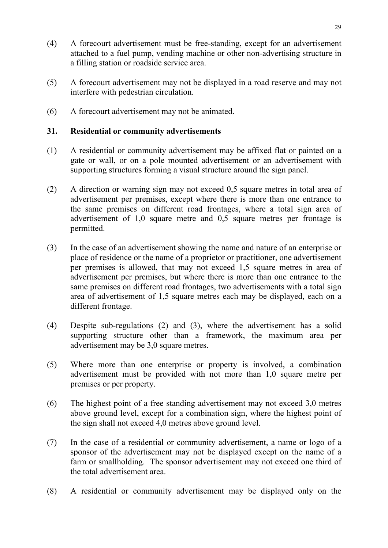- (4) A forecourt advertisement must be free-standing, except for an advertisement attached to a fuel pump, vending machine or other non-advertising structure in a filling station or roadside service area.
- (5) A forecourt advertisement may not be displayed in a road reserve and may not interfere with pedestrian circulation.
- (6) A forecourt advertisement may not be animated.

#### **31. Residential or community advertisements**

- (1) A residential or community advertisement may be affixed flat or painted on a gate or wall, or on a pole mounted advertisement or an advertisement with supporting structures forming a visual structure around the sign panel.
- (2) A direction or warning sign may not exceed 0,5 square metres in total area of advertisement per premises, except where there is more than one entrance to the same premises on different road frontages, where a total sign area of advertisement of 1,0 square metre and 0,5 square metres per frontage is permitted.
- (3) In the case of an advertisement showing the name and nature of an enterprise or place of residence or the name of a proprietor or practitioner, one advertisement per premises is allowed, that may not exceed 1,5 square metres in area of advertisement per premises, but where there is more than one entrance to the same premises on different road frontages, two advertisements with a total sign area of advertisement of 1,5 square metres each may be displayed, each on a different frontage.
- (4) Despite sub-regulations (2) and (3), where the advertisement has a solid supporting structure other than a framework, the maximum area per advertisement may be 3,0 square metres.
- (5) Where more than one enterprise or property is involved, a combination advertisement must be provided with not more than 1,0 square metre per premises or per property.
- (6) The highest point of a free standing advertisement may not exceed 3,0 metres above ground level, except for a combination sign, where the highest point of the sign shall not exceed 4,0 metres above ground level.
- (7) In the case of a residential or community advertisement, a name or logo of a sponsor of the advertisement may not be displayed except on the name of a farm or smallholding. The sponsor advertisement may not exceed one third of the total advertisement area.
- (8) A residential or community advertisement may be displayed only on the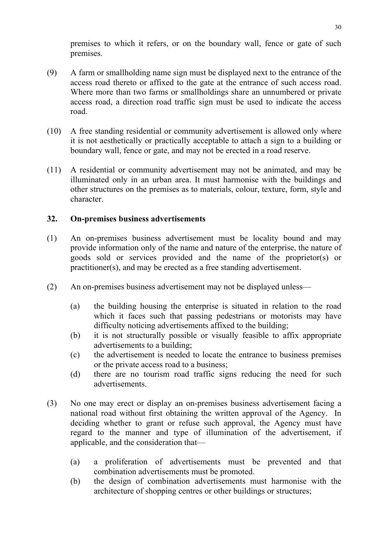premises to which it refers, or on the boundary wall, fence or gate of such premises.

- (9) A farm or smallholding name sign must be displayed next to the entrance of the access road thereto or affixed to the gate at the entrance of such access road. Where more than two farms or smallholdings share an unnumbered or private access road, a direction road traffic sign must be used to indicate the access road.
- (10) A free standing residential or community advertisement is allowed only where it is not aesthetically or practically acceptable to attach a sign to a building or boundary wall, fence or gate, and may not be erected in a road reserve.
- (11) A residential or community advertisement may not be animated, and may be illuminated only in an urban area. It must harmonise with the buildings and other structures on the premises as to materials, colour, texture, form, style and character.

## **32. On-premises business advertisements**

- (1) An on-premises business advertisement must be locality bound and may provide information only of the name and nature of the enterprise, the nature of goods sold or services provided and the name of the proprietor(s) or practitioner(s), and may be erected as a free standing advertisement.
- (2) An on-premises business advertisement may not be displayed unless—
	- (a) the building housing the enterprise is situated in relation to the road which it faces such that passing pedestrians or motorists may have difficulty noticing advertisements affixed to the building;
	- (b) it is not structurally possible or visually feasible to affix appropriate advertisements to a building;
	- (c) the advertisement is needed to locate the entrance to business premises or the private access road to a business;
	- (d) there are no tourism road traffic signs reducing the need for such advertisements.
- (3) No one may erect or display an on-premises business advertisement facing a national road without first obtaining the written approval of the Agency. In deciding whether to grant or refuse such approval, the Agency must have regard to the manner and type of illumination of the advertisement, if applicable, and the consideration that—
	- (a) a proliferation of advertisements must be prevented and that combination advertisements must be promoted.
	- (b) the design of combination advertisements must harmonise with the architecture of shopping centres or other buildings or structures;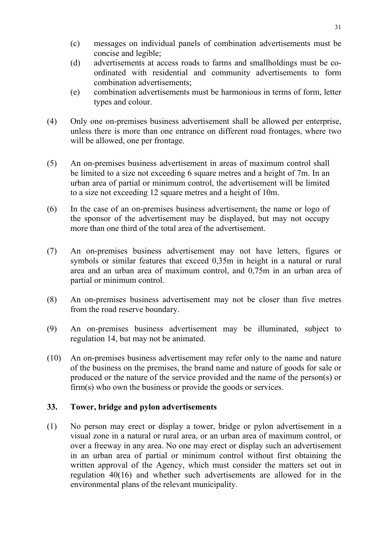- (c) messages on individual panels of combination advertisements must be concise and legible;
- (d) advertisements at access roads to farms and smallholdings must be coordinated with residential and community advertisements to form combination advertisements;
- (e) combination advertisements must be harmonious in terms of form, letter types and colour.
- (4) Only one on-premises business advertisement shall be allowed per enterprise, unless there is more than one entrance on different road frontages, where two will be allowed, one per frontage.
- (5) An on-premises business advertisement in areas of maximum control shall be limited to a size not exceeding 6 square metres and a height of 7m. In an urban area of partial or minimum control, the advertisement will be limited to a size not exceeding 12 square metres and a height of 10m.
- (6) In the case of an on-premises business advertisement, the name or logo of the sponsor of the advertisement may be displayed, but may not occupy more than one third of the total area of the advertisement.
- (7) An on-premises business advertisement may not have letters, figures or symbols or similar features that exceed 0,35m in height in a natural or rural area and an urban area of maximum control, and 0,75m in an urban area of partial or minimum control.
- (8) An on-premises business advertisement may not be closer than five metres from the road reserve boundary.
- (9) An on-premises business advertisement may be illuminated, subject to regulation 14, but may not be animated.
- (10) An on-premises business advertisement may refer only to the name and nature of the business on the premises, the brand name and nature of goods for sale or produced or the nature of the service provided and the name of the person(s) or firm(s) who own the business or provide the goods or services.

## **33. Tower, bridge and pylon advertisements**

(1) No person may erect or display a tower, bridge or pylon advertisement in a visual zone in a natural or rural area, or an urban area of maximum control, or over a freeway in any area. No one may erect or display such an advertisement in an urban area of partial or minimum control without first obtaining the written approval of the Agency, which must consider the matters set out in regulation 40(16) and whether such advertisements are allowed for in the environmental plans of the relevant municipality.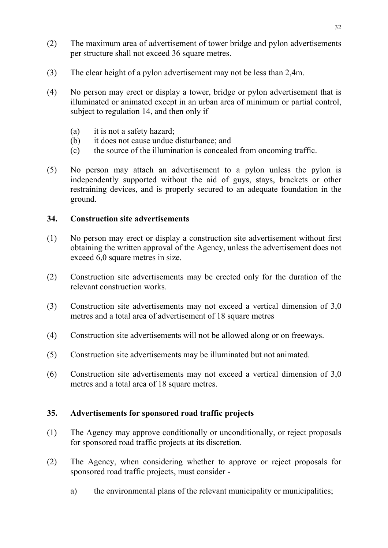- (2) The maximum area of advertisement of tower bridge and pylon advertisements per structure shall not exceed 36 square metres.
- (3) The clear height of a pylon advertisement may not be less than 2,4m.
- (4) No person may erect or display a tower, bridge or pylon advertisement that is illuminated or animated except in an urban area of minimum or partial control, subject to regulation 14, and then only if—
	- (a) it is not a safety hazard;
	- (b) it does not cause undue disturbance; and
	- (c) the source of the illumination is concealed from oncoming traffic.
- (5) No person may attach an advertisement to a pylon unless the pylon is independently supported without the aid of guys, stays, brackets or other restraining devices, and is properly secured to an adequate foundation in the ground.

## **34. Construction site advertisements**

- (1) No person may erect or display a construction site advertisement without first obtaining the written approval of the Agency, unless the advertisement does not exceed 6,0 square metres in size.
- (2) Construction site advertisements may be erected only for the duration of the relevant construction works.
- (3) Construction site advertisements may not exceed a vertical dimension of 3,0 metres and a total area of advertisement of 18 square metres
- (4) Construction site advertisements will not be allowed along or on freeways.
- (5) Construction site advertisements may be illuminated but not animated.
- (6) Construction site advertisements may not exceed a vertical dimension of 3,0 metres and a total area of 18 square metres.

## **35. Advertisements for sponsored road traffic projects**

- (1) The Agency may approve conditionally or unconditionally, or reject proposals for sponsored road traffic projects at its discretion.
- (2) The Agency, when considering whether to approve or reject proposals for sponsored road traffic projects, must consider
	- a) the environmental plans of the relevant municipality or municipalities;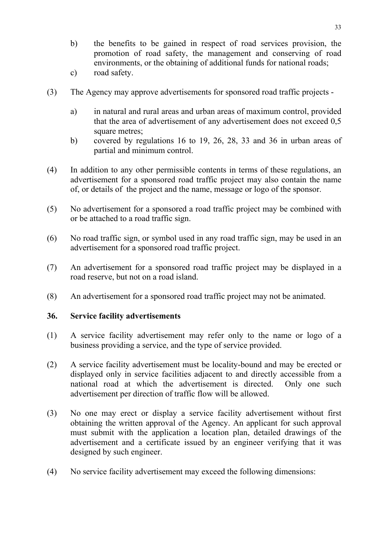- b) the benefits to be gained in respect of road services provision, the promotion of road safety, the management and conserving of road environments, or the obtaining of additional funds for national roads;
- c) road safety.
- (3) The Agency may approve advertisements for sponsored road traffic projects
	- a) in natural and rural areas and urban areas of maximum control, provided that the area of advertisement of any advertisement does not exceed 0,5 square metres;
	- b) covered by regulations 16 to 19, 26, 28, 33 and 36 in urban areas of partial and minimum control.
- (4) In addition to any other permissible contents in terms of these regulations, an advertisement for a sponsored road traffic project may also contain the name of, or details of the project and the name, message or logo of the sponsor.
- (5) No advertisement for a sponsored a road traffic project may be combined with or be attached to a road traffic sign.
- (6) No road traffic sign, or symbol used in any road traffic sign, may be used in an advertisement for a sponsored road traffic project.
- (7) An advertisement for a sponsored road traffic project may be displayed in a road reserve, but not on a road island.
- (8) An advertisement for a sponsored road traffic project may not be animated.

#### **36. Service facility advertisements**

- (1) A service facility advertisement may refer only to the name or logo of a business providing a service, and the type of service provided.
- (2) A service facility advertisement must be locality-bound and may be erected or displayed only in service facilities adjacent to and directly accessible from a national road at which the advertisement is directed. Only one such advertisement per direction of traffic flow will be allowed.
- (3) No one may erect or display a service facility advertisement without first obtaining the written approval of the Agency. An applicant for such approval must submit with the application a location plan, detailed drawings of the advertisement and a certificate issued by an engineer verifying that it was designed by such engineer.
- (4) No service facility advertisement may exceed the following dimensions: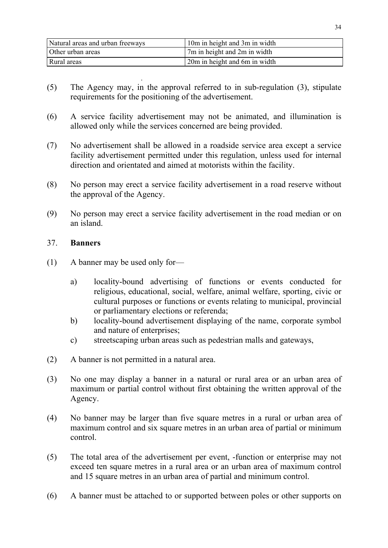| Natural areas and urban freeways | 10m in height and 3m in width |
|----------------------------------|-------------------------------|
| Other urban areas                | 7m in height and 2m in width  |
| Rural areas                      | 20m in height and 6m in width |

- . (5) The Agency may, in the approval referred to in sub-regulation (3), stipulate requirements for the positioning of the advertisement.
- (6) A service facility advertisement may not be animated, and illumination is allowed only while the services concerned are being provided.
- (7) No advertisement shall be allowed in a roadside service area except a service facility advertisement permitted under this regulation, unless used for internal direction and orientated and aimed at motorists within the facility.
- (8) No person may erect a service facility advertisement in a road reserve without the approval of the Agency.
- (9) No person may erect a service facility advertisement in the road median or on an island.

### 37. **Banners**

- (1) A banner may be used only for
	- a) locality-bound advertising of functions or events conducted for religious, educational, social, welfare, animal welfare, sporting, civic or cultural purposes or functions or events relating to municipal, provincial or parliamentary elections or referenda;
	- b) locality-bound advertisement displaying of the name, corporate symbol and nature of enterprises;
	- c) streetscaping urban areas such as pedestrian malls and gateways,
- (2) A banner is not permitted in a natural area.
- (3) No one may display a banner in a natural or rural area or an urban area of maximum or partial control without first obtaining the written approval of the Agency.
- (4) No banner may be larger than five square metres in a rural or urban area of maximum control and six square metres in an urban area of partial or minimum control.
- (5) The total area of the advertisement per event, -function or enterprise may not exceed ten square metres in a rural area or an urban area of maximum control and 15 square metres in an urban area of partial and minimum control.
- (6) A banner must be attached to or supported between poles or other supports on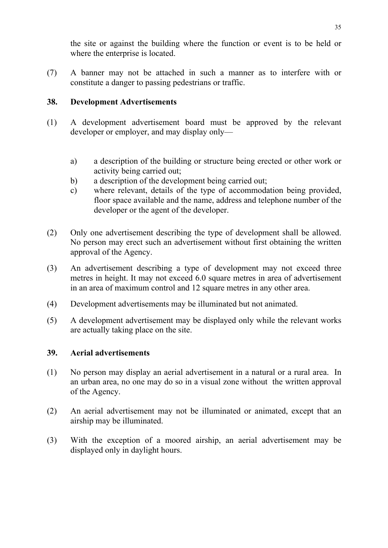the site or against the building where the function or event is to be held or where the enterprise is located.

(7) A banner may not be attached in such a manner as to interfere with or constitute a danger to passing pedestrians or traffic.

## **38. Development Advertisements**

- (1) A development advertisement board must be approved by the relevant developer or employer, and may display only
	- a) a description of the building or structure being erected or other work or activity being carried out;
	- b) a description of the development being carried out;
	- c) where relevant, details of the type of accommodation being provided, floor space available and the name, address and telephone number of the developer or the agent of the developer.
- (2) Only one advertisement describing the type of development shall be allowed. No person may erect such an advertisement without first obtaining the written approval of the Agency.
- (3) An advertisement describing a type of development may not exceed three metres in height. It may not exceed 6.0 square metres in area of advertisement in an area of maximum control and 12 square metres in any other area.
- (4) Development advertisements may be illuminated but not animated.
- (5) A development advertisement may be displayed only while the relevant works are actually taking place on the site.

## **39. Aerial advertisements**

- (1) No person may display an aerial advertisement in a natural or a rural area. In an urban area, no one may do so in a visual zone without the written approval of the Agency.
- (2) An aerial advertisement may not be illuminated or animated, except that an airship may be illuminated.
- (3) With the exception of a moored airship, an aerial advertisement may be displayed only in daylight hours.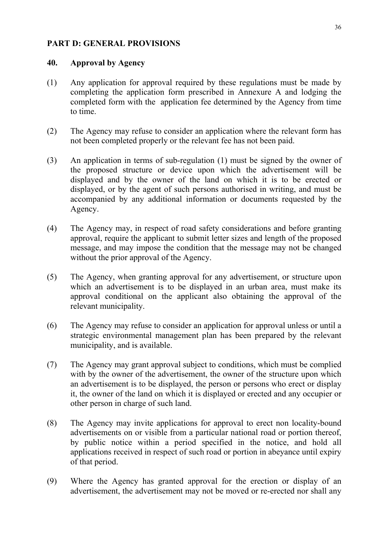#### **PART D: GENERAL PROVISIONS**

#### **40. Approval by Agency**

- (1) Any application for approval required by these regulations must be made by completing the application form prescribed in Annexure A and lodging the completed form with the application fee determined by the Agency from time to time.
- (2) The Agency may refuse to consider an application where the relevant form has not been completed properly or the relevant fee has not been paid.
- (3) An application in terms of sub-regulation (1) must be signed by the owner of the proposed structure or device upon which the advertisement will be displayed and by the owner of the land on which it is to be erected or displayed, or by the agent of such persons authorised in writing, and must be accompanied by any additional information or documents requested by the Agency.
- (4) The Agency may, in respect of road safety considerations and before granting approval, require the applicant to submit letter sizes and length of the proposed message, and may impose the condition that the message may not be changed without the prior approval of the Agency.
- (5) The Agency, when granting approval for any advertisement, or structure upon which an advertisement is to be displayed in an urban area, must make its approval conditional on the applicant also obtaining the approval of the relevant municipality.
- (6) The Agency may refuse to consider an application for approval unless or until a strategic environmental management plan has been prepared by the relevant municipality, and is available.
- (7) The Agency may grant approval subject to conditions, which must be complied with by the owner of the advertisement, the owner of the structure upon which an advertisement is to be displayed, the person or persons who erect or display it, the owner of the land on which it is displayed or erected and any occupier or other person in charge of such land.
- (8) The Agency may invite applications for approval to erect non locality-bound advertisements on or visible from a particular national road or portion thereof, by public notice within a period specified in the notice, and hold all applications received in respect of such road or portion in abeyance until expiry of that period.
- (9) Where the Agency has granted approval for the erection or display of an advertisement, the advertisement may not be moved or re-erected nor shall any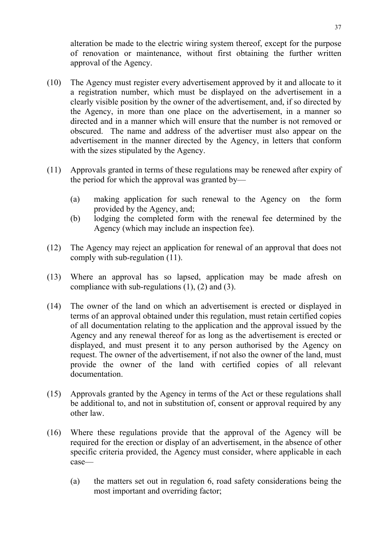alteration be made to the electric wiring system thereof, except for the purpose of renovation or maintenance, without first obtaining the further written approval of the Agency.

- (10) The Agency must register every advertisement approved by it and allocate to it a registration number, which must be displayed on the advertisement in a clearly visible position by the owner of the advertisement, and, if so directed by the Agency, in more than one place on the advertisement, in a manner so directed and in a manner which will ensure that the number is not removed or obscured. The name and address of the advertiser must also appear on the advertisement in the manner directed by the Agency, in letters that conform with the sizes stipulated by the Agency.
- (11) Approvals granted in terms of these regulations may be renewed after expiry of the period for which the approval was granted by—
	- (a) making application for such renewal to the Agency on the form provided by the Agency, and;
	- (b) lodging the completed form with the renewal fee determined by the Agency (which may include an inspection fee).
- (12) The Agency may reject an application for renewal of an approval that does not comply with sub-regulation (11).
- (13) Where an approval has so lapsed, application may be made afresh on compliance with sub-regulations (1), (2) and (3).
- (14) The owner of the land on which an advertisement is erected or displayed in terms of an approval obtained under this regulation, must retain certified copies of all documentation relating to the application and the approval issued by the Agency and any renewal thereof for as long as the advertisement is erected or displayed, and must present it to any person authorised by the Agency on request. The owner of the advertisement, if not also the owner of the land, must provide the owner of the land with certified copies of all relevant documentation.
- (15) Approvals granted by the Agency in terms of the Act or these regulations shall be additional to, and not in substitution of, consent or approval required by any other law.
- (16) Where these regulations provide that the approval of the Agency will be required for the erection or display of an advertisement, in the absence of other specific criteria provided, the Agency must consider, where applicable in each case—
	- (a) the matters set out in regulation 6, road safety considerations being the most important and overriding factor;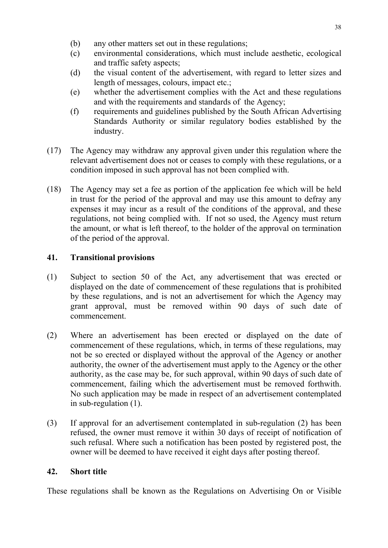- (b) any other matters set out in these regulations;
- (c) environmental considerations, which must include aesthetic, ecological and traffic safety aspects;
- (d) the visual content of the advertisement, with regard to letter sizes and length of messages, colours, impact etc.;
- (e) whether the advertisement complies with the Act and these regulations and with the requirements and standards of the Agency;
- (f) requirements and guidelines published by the South African Advertising Standards Authority or similar regulatory bodies established by the industry.
- (17) The Agency may withdraw any approval given under this regulation where the relevant advertisement does not or ceases to comply with these regulations, or a condition imposed in such approval has not been complied with.
- (18) The Agency may set a fee as portion of the application fee which will be held in trust for the period of the approval and may use this amount to defray any expenses it may incur as a result of the conditions of the approval, and these regulations, not being complied with. If not so used, the Agency must return the amount, or what is left thereof, to the holder of the approval on termination of the period of the approval.

# **41. Transitional provisions**

- (1) Subject to section 50 of the Act, any advertisement that was erected or displayed on the date of commencement of these regulations that is prohibited by these regulations, and is not an advertisement for which the Agency may grant approval, must be removed within 90 days of such date of commencement.
- (2) Where an advertisement has been erected or displayed on the date of commencement of these regulations, which, in terms of these regulations, may not be so erected or displayed without the approval of the Agency or another authority, the owner of the advertisement must apply to the Agency or the other authority, as the case may be, for such approval, within 90 days of such date of commencement, failing which the advertisement must be removed forthwith. No such application may be made in respect of an advertisement contemplated in sub-regulation (1).
- (3) If approval for an advertisement contemplated in sub-regulation (2) has been refused, the owner must remove it within 30 days of receipt of notification of such refusal. Where such a notification has been posted by registered post, the owner will be deemed to have received it eight days after posting thereof.

## **42. Short title**

These regulations shall be known as the Regulations on Advertising On or Visible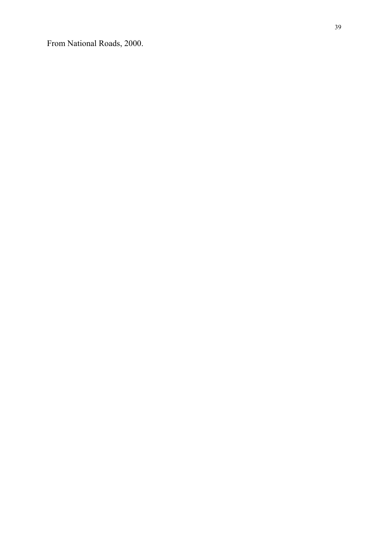From National Roads, 2000.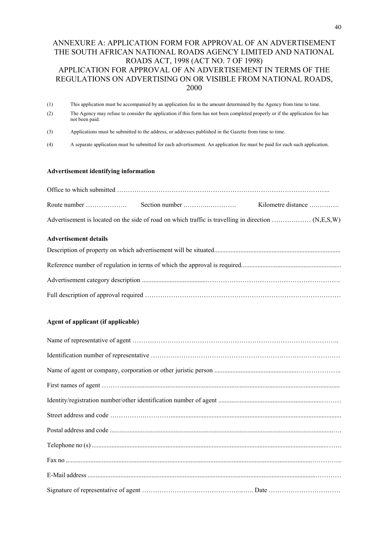#### ANNEXURE A: APPLICATION FORM FOR APPROVAL OF AN ADVERTISEMENT THE SOUTH AFRICAN NATIONAL ROADS AGENCY LIMITED AND NATIONAL ROADS ACT, 1998 (ACT NO. 7 OF 1998) APPLICATION FOR APPROVAL OF AN ADVERTISEMENT IN TERMS OF THE REGULATIONS ON ADVERTISING ON OR VISIBLE FROM NATIONAL ROADS, 2000

- (1) This application must be accompanied by an application fee in the amount determined by the Agency from time to time.
- (2) The Agency may refuse to consider the application if this form has not been completed properly or if the application fee has not been paid.
- (3) Applications must be submitted to the address, or addresses published in the Gazette from time to time.
- (4) A separate application must be submitted for each advertisement. An application fee must be paid for each such application.

#### **Advertisement identifying information**

#### **Advertisement details**

#### **Agent of applicant (if applicable)**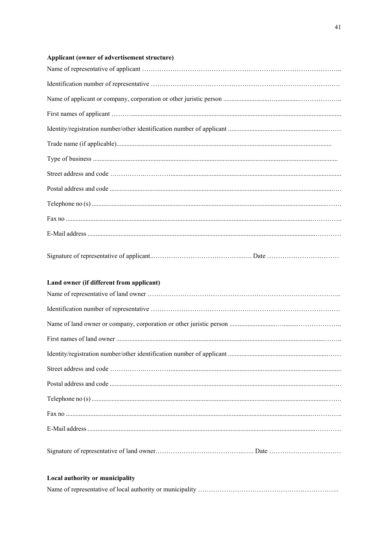#### Applicant (owner of advertisement structure)

#### Land owner (if different from applicant)

| Local authority or municipality |
|---------------------------------|

####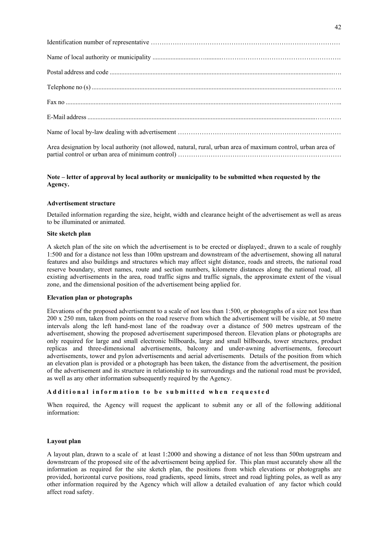| Area designation by local authority (not allowed, natural, rural, urban area of maximum control, urban area of |
|----------------------------------------------------------------------------------------------------------------|

#### **Note – letter of approval by local authority or municipality to be submitted when requested by the Agency.**

#### **Advertisement structure**

Detailed information regarding the size, height, width and clearance height of the advertisement as well as areas to be illuminated or animated.

#### **Site sketch plan**

A sketch plan of the site on which the advertisement is to be erected or displayed:, drawn to a scale of roughly 1:500 and for a distance not less than 100m upstream and downstream of the advertisement, showing all natural features and also buildings and structures which may affect sight distance, roads and streets, the national road reserve boundary, street names, route and section numbers, kilometre distances along the national road, all existing advertisements in the area, road traffic signs and traffic signals, the approximate extent of the visual zone, and the dimensional position of the advertisement being applied for.

#### **Elevation plan or photographs**

Elevations of the proposed advertisement to a scale of not less than 1:500, or photographs of a size not less than 200 x 250 mm, taken from points on the road reserve from which the advertisement will be visible, at 50 metre intervals along the left hand-most lane of the roadway over a distance of 500 metres upstream of the advertisement, showing the proposed advertisement superimposed thereon. Elevation plans or photographs are only required for large and small electronic billboards, large and small billboards, tower structures, product replicas and three-dimensional advertisements, balcony and under-awning advertisements, forecourt advertisements, tower and pylon advertisements and aerial advertisements. Details of the position from which an elevation plan is provided or a photograph has been taken, the distance from the advertisement, the position of the advertisement and its structure in relationship to its surroundings and the national road must be provided, as well as any other information subsequently required by the Agency.

#### **Additional information to be submitted when requested**

When required, the Agency will request the applicant to submit any or all of the following additional information:

#### **Layout plan**

A layout plan, drawn to a scale of at least 1:2000 and showing a distance of not less than 500m upstream and downstream of the proposed site of the advertisement being applied for. This plan must accurately show all the information as required for the site sketch plan, the positions from which elevations or photographs are provided, horizontal curve positions, road gradients, speed limits, street and road lighting poles, as well as any other information required by the Agency which will allow a detailed evaluation of any factor which could affect road safety.